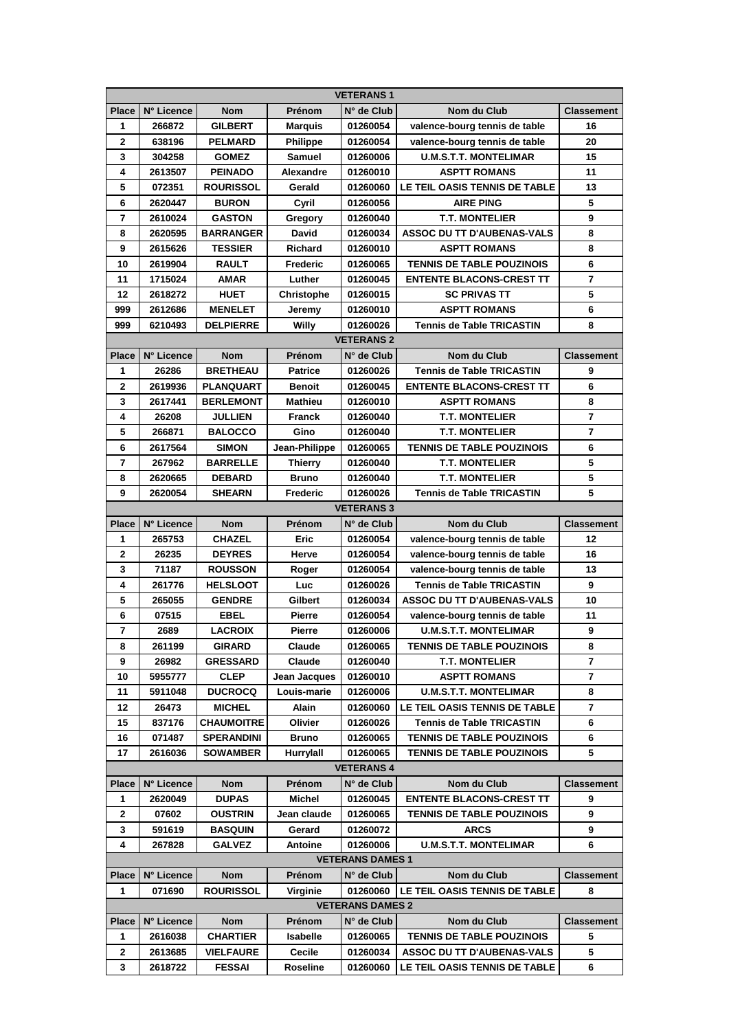| <b>VETERANS1</b>        |            |                   |                   |                   |                                   |                         |  |  |  |  |
|-------------------------|------------|-------------------|-------------------|-------------------|-----------------------------------|-------------------------|--|--|--|--|
| Place                   | N° Licence | <b>Nom</b>        | Prénom            | N° de Club        | Nom du Club                       | <b>Classement</b>       |  |  |  |  |
| 1                       | 266872     | <b>GILBERT</b>    | <b>Marquis</b>    | 01260054          | valence-bourg tennis de table     | 16                      |  |  |  |  |
| 2                       | 638196     | <b>PELMARD</b>    | <b>Philippe</b>   | 01260054          | valence-bourg tennis de table     | 20                      |  |  |  |  |
| 3                       | 304258     | <b>GOMEZ</b>      | <b>Samuel</b>     | 01260006          | <b>U.M.S.T.T. MONTELIMAR</b>      | 15                      |  |  |  |  |
| 4                       | 2613507    | <b>PEINADO</b>    | Alexandre         | 01260010          | <b>ASPTT ROMANS</b>               | 11                      |  |  |  |  |
| 5                       | 072351     | <b>ROURISSOL</b>  | Gerald            | 01260060          | LE TEIL OASIS TENNIS DE TABLE     | 13                      |  |  |  |  |
| 6                       | 2620447    | <b>BURON</b>      | Cyril             | 01260056          | <b>AIRE PING</b>                  | 5                       |  |  |  |  |
| $\overline{\mathbf{r}}$ | 2610024    | <b>GASTON</b>     | Gregory           | 01260040          | <b>T.T. MONTELIER</b>             | 9                       |  |  |  |  |
| 8                       | 2620595    | <b>BARRANGER</b>  | David             | 01260034          | <b>ASSOC DU TT D'AUBENAS-VALS</b> | 8                       |  |  |  |  |
| 9                       | 2615626    | <b>TESSIER</b>    | <b>Richard</b>    | 01260010          | <b>ASPTT ROMANS</b>               | 8                       |  |  |  |  |
| 10                      | 2619904    | <b>RAULT</b>      | Frederic          | 01260065          | <b>TENNIS DE TABLE POUZINOIS</b>  | 6                       |  |  |  |  |
| 11                      | 1715024    | AMAR              | Luther            | 01260045          | <b>ENTENTE BLACONS-CREST TT</b>   | $\overline{\mathbf{r}}$ |  |  |  |  |
| 12                      | 2618272    | <b>HUET</b>       | <b>Christophe</b> | 01260015          | <b>SC PRIVAS TT</b>               | 5                       |  |  |  |  |
| 999                     | 2612686    | <b>MENELET</b>    | Jeremy            | 01260010          | <b>ASPTT ROMANS</b>               | 6                       |  |  |  |  |
| 999                     | 6210493    | <b>DELPIERRE</b>  | Willy             | 01260026          | <b>Tennis de Table TRICASTIN</b>  | 8                       |  |  |  |  |
|                         |            |                   |                   | <b>VETERANS 2</b> |                                   |                         |  |  |  |  |
| Place                   | N° Licence | <b>Nom</b>        | Prénom            | N° de Club        | Nom du Club                       | <b>Classement</b>       |  |  |  |  |
| 1                       | 26286      | <b>BRETHEAU</b>   | <b>Patrice</b>    | 01260026          | <b>Tennis de Table TRICASTIN</b>  | 9                       |  |  |  |  |
| 2                       | 2619936    | <b>PLANQUART</b>  | <b>Benoit</b>     | 01260045          | <b>ENTENTE BLACONS-CREST TT</b>   | 6                       |  |  |  |  |
| 3                       | 2617441    | <b>BERLEMONT</b>  | <b>Mathieu</b>    | 01260010          | <b>ASPTT ROMANS</b>               | 8                       |  |  |  |  |
| 4                       | 26208      | <b>JULLIEN</b>    | <b>Franck</b>     | 01260040          | <b>T.T. MONTELIER</b>             | $\overline{7}$          |  |  |  |  |
| 5                       | 266871     | <b>BALOCCO</b>    | Gino              | 01260040          | <b>T.T. MONTELIER</b>             | $\overline{7}$          |  |  |  |  |
| 6                       | 2617564    | <b>SIMON</b>      | Jean-Philippe     | 01260065          | <b>TENNIS DE TABLE POUZINOIS</b>  | 6                       |  |  |  |  |
| $\overline{\mathbf{r}}$ | 267962     | <b>BARRELLE</b>   | <b>Thierry</b>    | 01260040          | <b>T.T. MONTELIER</b>             | 5                       |  |  |  |  |
| 8                       | 2620665    | <b>DEBARD</b>     | <b>Bruno</b>      | 01260040          | <b>T.T. MONTELIER</b>             | 5                       |  |  |  |  |
| 9                       | 2620054    | SHEARN            | Frederic          | 01260026          | <b>Tennis de Table TRICASTIN</b>  | 5                       |  |  |  |  |
|                         |            |                   |                   | <b>VETERANS 3</b> |                                   |                         |  |  |  |  |
| Place                   | N° Licence | <b>Nom</b>        | Prénom            | N° de Club        | Nom du Club                       | <b>Classement</b>       |  |  |  |  |
| 1                       | 265753     | <b>CHAZEL</b>     | Eric              | 01260054          | valence-bourg tennis de table     | 12                      |  |  |  |  |
| 2                       | 26235      | <b>DEYRES</b>     | Herve             | 01260054          | valence-bourg tennis de table     | 16                      |  |  |  |  |
| 3                       | 71187      | <b>ROUSSON</b>    | Roger             | 01260054          | valence-bourg tennis de table     | 13                      |  |  |  |  |
| 4                       | 261776     | <b>HELSLOOT</b>   | Luc               | 01260026          | <b>Tennis de Table TRICASTIN</b>  | 9                       |  |  |  |  |
| 5                       | 265055     | <b>GENDRE</b>     | Gilbert           | 01260034          | ASSOC DU TT D'AUBENAS-VALS        | 10                      |  |  |  |  |
| 6                       | 07515      | EBEL              | Pierre            | 01260054          | valence-bourg tennis de table     | 11                      |  |  |  |  |
| $\overline{7}$          | 2689       | <b>LACROIX</b>    | Pierre            | 01260006          | <b>U.M.S.T.T. MONTELIMAR</b>      | 9                       |  |  |  |  |
| 8                       | 261199     | <b>GIRARD</b>     | Claude            | 01260065          | <b>TENNIS DE TABLE POUZINOIS</b>  | 8                       |  |  |  |  |
| 9                       | 26982      | <b>GRESSARD</b>   | Claude            | 01260040          | <b>T.T. MONTELIER</b>             | 7                       |  |  |  |  |
| 10                      | 5955777    | CLEP              | Jean Jacques      | 01260010          | <b>ASPTT ROMANS</b>               | 7                       |  |  |  |  |
| 11                      | 5911048    | <b>DUCROCQ</b>    | Louis-marie       | 01260006          | <b>U.M.S.T.T. MONTELIMAR</b>      | 8                       |  |  |  |  |
| 12                      | 26473      | <b>MICHEL</b>     | Alain             | 01260060          | LE TEIL OASIS TENNIS DE TABLE     | $\overline{7}$          |  |  |  |  |
| 15                      | 837176     | <b>CHAUMOITRE</b> | Olivier           | 01260026          | <b>Tennis de Table TRICASTIN</b>  | 6                       |  |  |  |  |
| 16                      | 071487     | <b>SPERANDINI</b> | <b>Bruno</b>      | 01260065          | <b>TENNIS DE TABLE POUZINOIS</b>  | 6                       |  |  |  |  |
| 17                      | 2616036    | <b>SOWAMBER</b>   | Hurrylall         | 01260065          | <b>TENNIS DE TABLE POUZINOIS</b>  | 5                       |  |  |  |  |
| <b>VETERANS 4</b>       |            |                   |                   |                   |                                   |                         |  |  |  |  |
| Place                   | N° Licence | Nom               | Prénom            | N° de Club        | Nom du Club                       | <b>Classement</b>       |  |  |  |  |
| 1                       | 2620049    | <b>DUPAS</b>      | Michel            | 01260045          | <b>ENTENTE BLACONS-CREST TT</b>   | 9                       |  |  |  |  |
| 2                       | 07602      | <b>OUSTRIN</b>    | Jean claude       | 01260065          | <b>TENNIS DE TABLE POUZINOIS</b>  | 9                       |  |  |  |  |
| 3                       | 591619     | <b>BASQUIN</b>    | Gerard            | 01260072          | <b>ARCS</b>                       | 9                       |  |  |  |  |
| 4                       | 267828     | GALVEZ            | Antoine           | 01260006          | <b>U.M.S.T.T. MONTELIMAR</b>      | 6                       |  |  |  |  |
| <b>VETERANS DAMES 1</b> |            |                   |                   |                   |                                   |                         |  |  |  |  |
| <b>Place</b>            | N° Licence | Nom               | Prénom            | N° de Club        | Nom du Club                       | <b>Classement</b>       |  |  |  |  |
| 1                       | 071690     | <b>ROURISSOL</b>  | Virginie          | 01260060          | LE TEIL OASIS TENNIS DE TABLE     | 8                       |  |  |  |  |
| <b>VETERANS DAMES 2</b> |            |                   |                   |                   |                                   |                         |  |  |  |  |
| <b>Place</b>            | N° Licence | Nom               | Prénom            | N° de Club        | Nom du Club                       | <b>Classement</b>       |  |  |  |  |
| 1                       | 2616038    | <b>CHARTIER</b>   | Isabelle          | 01260065          | TENNIS DE TABLE POUZINOIS         | 5                       |  |  |  |  |
| 2                       | 2613685    | <b>VIELFAURE</b>  | Cecile            | 01260034          | ASSOC DU TT D'AUBENAS-VALS        | 5                       |  |  |  |  |
| 3                       | 2618722    | <b>FESSAI</b>     | Roseline          | 01260060          | LE TEIL OASIS TENNIS DE TABLE     | 6                       |  |  |  |  |